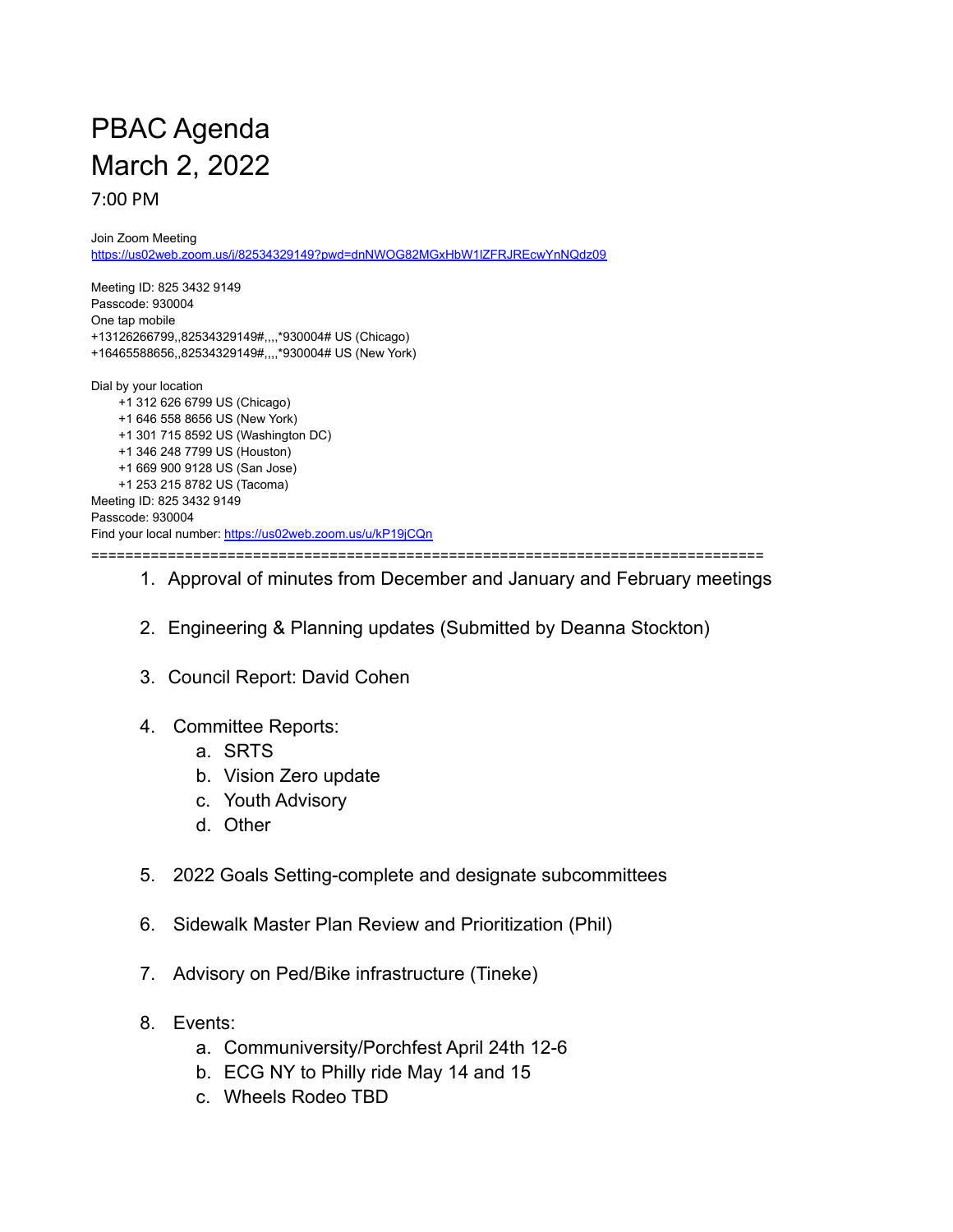## PBAC Agenda March 2, 2022 7:00 PM

Join Zoom Meeting <https://us02web.zoom.us/j/82534329149?pwd=dnNWOG82MGxHbW1lZFRJREcwYnNQdz09>

Meeting ID: 825 3432 9149 Passcode: 930004 One tap mobile +13126266799,,82534329149#,,,,\*930004# US (Chicago) +16465588656,,82534329149#,,,,\*930004# US (New York) Dial by your location +1 312 626 6799 US (Chicago) +1 646 558 8656 US (New York) +1 301 715 8592 US (Washington DC) +1 346 248 7799 US (Houston) +1 669 900 9128 US (San Jose) +1 253 215 8782 US (Tacoma) Meeting ID: 825 3432 9149 Passcode: 930004 Find your local number: <https://us02web.zoom.us/u/kP19jCQn> ===============================================================================

## 1. Approval of minutes from December and January and February meetings

- 2. Engineering & Planning updates (Submitted by Deanna Stockton)
- 3. Council Report: David Cohen
- 4. Committee Reports:
	- a. SRTS
	- b. Vision Zero update
	- c. Youth Advisory
	- d. Other
- 5. 2022 Goals Setting-complete and designate subcommittees
- 6. Sidewalk Master Plan Review and Prioritization (Phil)
- 7. Advisory on Ped/Bike infrastructure (Tineke)
- 8. Events:
	- a. Communiversity/Porchfest April 24th 12-6
	- b. ECG NY to Philly ride May 14 and 15
	- c. Wheels Rodeo TBD